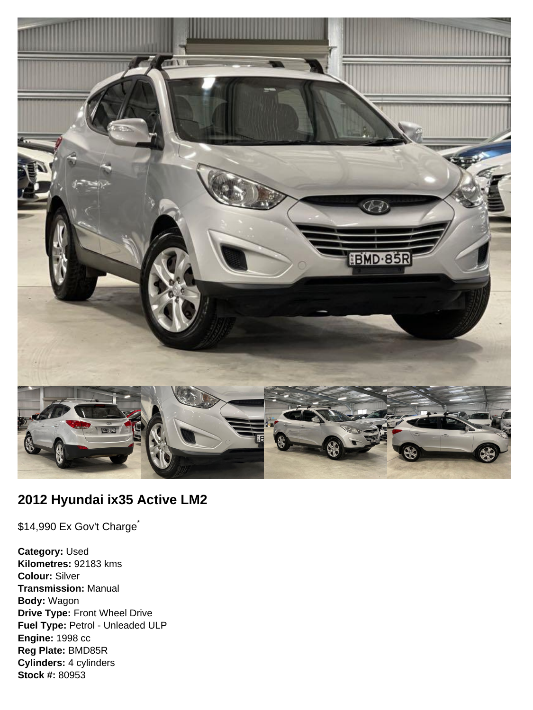

# **2012 Hyundai ix35 Active LM2**

\$14,990 Ex Gov't Charge<sup>\*</sup>

**Category:** Used **Kilometres:** 92183 kms **Colour:** Silver **Transmission:** Manual **Body:** Wagon **Drive Type:** Front Wheel Drive **Fuel Type:** Petrol - Unleaded ULP **Engine:** 1998 cc **Reg Plate:** BMD85R **Cylinders:** 4 cylinders **Stock #:** 80953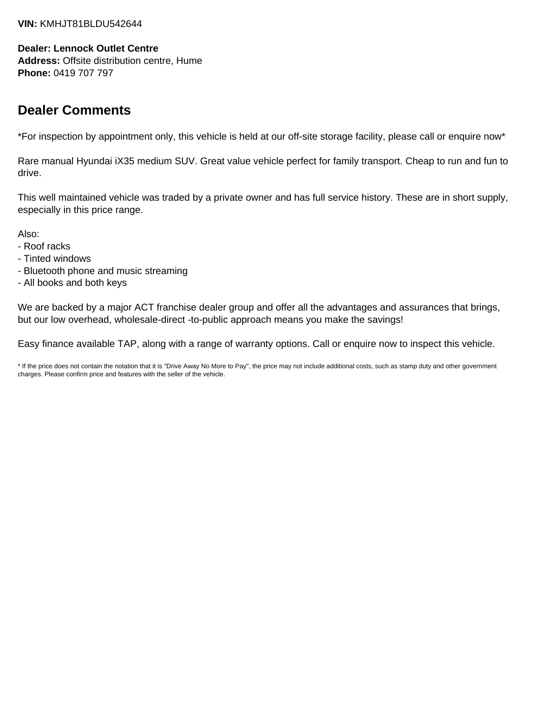#### **VIN:** KMHJT81BLDU542644

#### **Dealer: Lennock Outlet Centre**

**Address:** Offsite distribution centre, Hume **Phone:** 0419 707 797

## **Dealer Comments**

\*For inspection by appointment only, this vehicle is held at our off-site storage facility, please call or enquire now\*

Rare manual Hyundai iX35 medium SUV. Great value vehicle perfect for family transport. Cheap to run and fun to drive.

This well maintained vehicle was traded by a private owner and has full service history. These are in short supply, especially in this price range.

Also:

- Roof racks
- Tinted windows
- Bluetooth phone and music streaming
- All books and both keys

We are backed by a major ACT franchise dealer group and offer all the advantages and assurances that brings, but our low overhead, wholesale-direct -to-public approach means you make the savings!

Easy finance available TAP, along with a range of warranty options. Call or enquire now to inspect this vehicle.

\* If the price does not contain the notation that it is "Drive Away No More to Pay", the price may not include additional costs, such as stamp duty and other government charges. Please confirm price and features with the seller of the vehicle.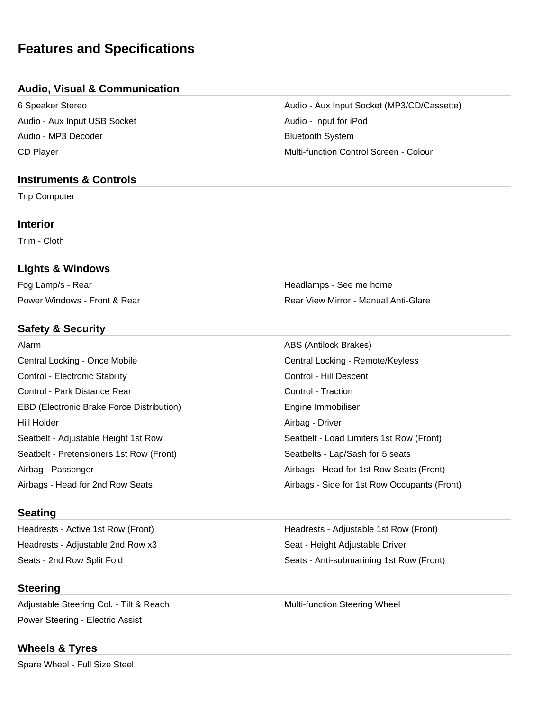## **Features and Specifications**

### **Audio, Visual & Communication**

Audio - Aux Input USB Socket Audio - Input for iPod Audio - MP3 Decoder **Bluetooth System** 

#### **Instruments & Controls**

Trip Computer

#### **Interior**

Trim - Cloth

### **Lights & Windows**

Fog Lamp/s - Rear **Headlamps - See me home** Headlamps - See me home

## **Safety & Security**

| Alarm                                            | ABS (Antilock Brakes)                        |
|--------------------------------------------------|----------------------------------------------|
| Central Locking - Once Mobile                    | Central Locking - Remote/Keyless             |
| Control - Electronic Stability                   | Control - Hill Descent                       |
| Control - Park Distance Rear                     | Control - Traction                           |
| <b>EBD (Electronic Brake Force Distribution)</b> | Engine Immobiliser                           |
| Hill Holder                                      | Airbag - Driver                              |
| Seatbelt - Adjustable Height 1st Row             | Seatbelt - Load Limiters 1st Row (Front)     |
| Seatbelt - Pretensioners 1st Row (Front)         | Seatbelts - Lap/Sash for 5 seats             |
| Airbag - Passenger                               | Airbags - Head for 1st Row Seats (Front)     |
| Airbags - Head for 2nd Row Seats                 | Airbags - Side for 1st Row Occupants (Front) |

#### **Seating**

Headrests - Adjustable 2nd Row x3 Seat - Height Adjustable Driver

## **Steering**

Adjustable Steering Col. - Tilt & Reach Multi-function Steering Wheel Power Steering - Electric Assist

## **Wheels & Tyres**

Spare Wheel - Full Size Steel

6 Speaker Stereo Audio - Aux Input Socket (MP3/CD/Cassette) CD Player CD Player CONSERVILLE CONTROL CONTROL CONTROL CONTROL CONTROL CONTROL CONTROL CONTROL CONTROL CONTROL CONTROL CONTROL CONTROL CONTROL CONTROL CONTROL CONTROL CONTROL CONTROL CONTROL CONTROL CONTROL CONTROL CONTRO

Power Windows - Front & Rear Rear View Mirror - Manual Anti-Glare

Headrests - Active 1st Row (Front) Manuscriptus Headrests - Adjustable 1st Row (Front) Seats - 2nd Row Split Fold Seats - Anti-submarining 1st Row (Front)